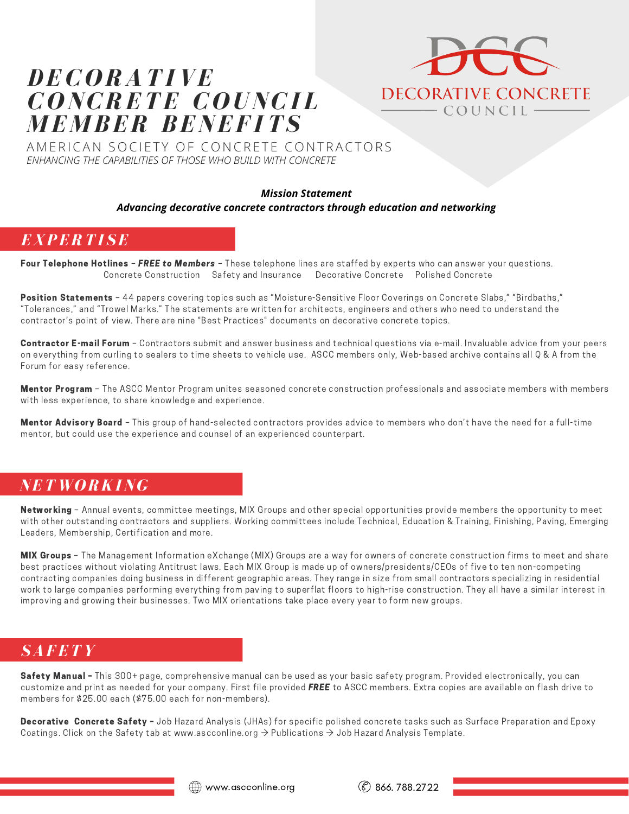# *DEC O RATIVE C O NCRETE C O UNCI L M E M BER BENEF ITS*



AMERICAN SOCIETY OF CONCRETE CONTRACTORS *ENHANCING THE CAPABILITIES OF THOSE WHO BUILD WITH CONCRETE*

#### *Mission Statement*

#### *Advancing decorative concrete contractors through education and networking*

### *EXPERTI SE*

Four Telephone Hotlines – FREE to Members – These telephone lines are staffed by experts who can answer your questions. Concrete Construction Safety and Insurance Decorative Concrete Polished Concrete

Position Statements - 44 papers covering topics such as "Moisture-Sensitive Floor Coverings on Concrete Slabs," "Birdbaths," "Tolerances," and "Trowel Marks." The statements are written for architects, engineers and others who need to understand the contractor's point of view. There are nine "Best Practices" documents on decorative concrete topics.

Contractor E-mail Forum - Contractors submit and answer business and technical questions via e-mail. Invaluable advice from your peers on everything from curling to sealers to time sheets to vehicle use. ASCC members only, Web-based archive contains all Q & A from the Forum for easy reference.

Mentor Program - The ASCC Mentor Program unites seasoned concrete construction professionals and associate members with members with less experience, to share knowledge and experience.

Mentor Advisory Board - This group of hand-selected contractors provides advice to members who don't have the need for a full-time mentor, but could use the experience and counsel of an experienced counterpart.

# *NET W O RKING*

Networking – Annual events, committee meetings, MIX Groups and other special opportunities provide members the opportunity to meet with other outstanding contractors and suppliers. Working committees include Technical, Education & Training, Finishing, Paving, Emerging Leaders, Membership, Certification and more.

MIX Groups - The Management Information eXchange (MIX) Groups are a way for owners of concrete construction firms to meet and share best practices without violating Antitrust laws. Each MIX Group is made up of owners/presidents/CEOs of five to ten non-competing contracting companies doing business in different geographic areas. They range in size from small contractors specializing in residential work to large companies performing everything from paving to superflat floors to high-rise construction. They all have a similar interest in improving and growing their businesses. Two MIX orientations take place every year to form new groups.

### *SAFETY*

Safety Manual – This 300+ page, comprehensive manual can be used as your basic safety program. Provided electronically, you can customize and print as needed for your company. First file provided FREE to ASCC members. Extra copies are available on flash drive to members for \$25.00 each (\$75.00 each for non-members).

Decorative Concrete Safety - Job Hazard Analysis (JHAs) for specific polished concrete tasks such as Surface Preparation and Epoxy Coatings. Click on the Safety tab at www.ascconline.org  $\rightarrow$  Publications  $\rightarrow$  Job Hazard Analysis Template.